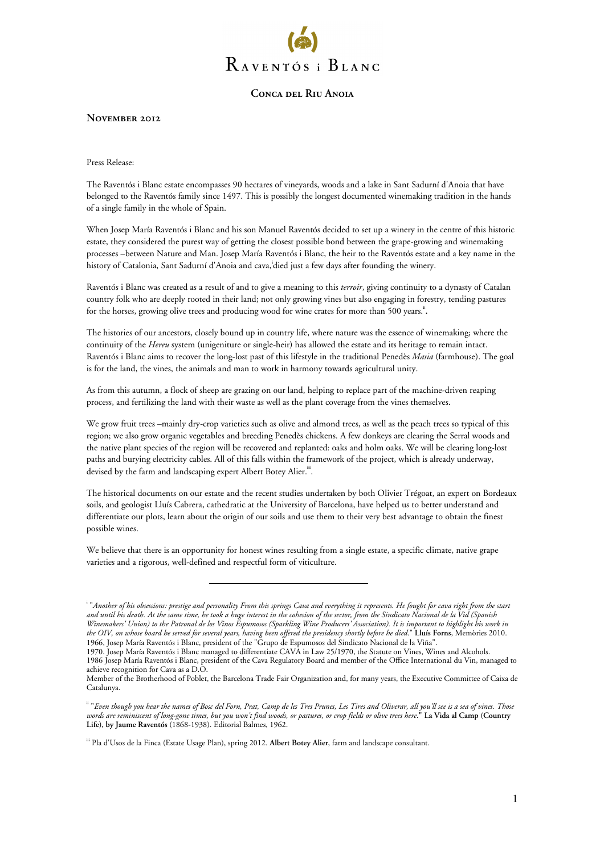

**November 2012** 

Press Release:

The Raventós i Blanc estate encompasses 90 hectares of vineyards, woods and a lake in Sant Sadurní d'Anoia that have belonged to the Raventós family since 1497. This is possibly the longest documented winemaking tradition in the hands of a single family in the whole of Spain.

When Josep María Raventós i Blanc and his son Manuel Raventós decided to set up a winery in the centre of this historic estate, they considered the purest way of getting the closest possible bond between the grape-growing and winemaking processes –between Nature and Man. Josep María Raventós i Blanc, the heir to the Raventós estate and a key name in the history of Catalonia, Sant Sadurní d'Anoia and cava, **i** died just a few days after founding the winery.

Raventós i Blanc was created as a result of and to give a meaning to this *terroir*, giving continuity to a dynasty of Catalan country folk who are deeply rooted in their land; not only growing vines but also engaging in forestry, tending pastures for the horses, growing olive trees and producing wood for wine crates for more than 500 years.<sup>ii</sup>.

The histories of our ancestors, closely bound up in country life, where nature was the essence of winemaking; where the continuity of the *Hereu* system (unigeniture or single-heir) has allowed the estate and its heritage to remain intact. Raventós i Blanc aims to recover the long-lost past of this lifestyle in the traditional Penedès *Masia* (farmhouse). The goal is for the land, the vines, the animals and man to work in harmony towards agricultural unity.

As from this autumn, a flock of sheep are grazing on our land, helping to replace part of the machine-driven reaping process, and fertilizing the land with their waste as well as the plant coverage from the vines themselves.

We grow fruit trees –mainly dry-crop varieties such as olive and almond trees, as well as the peach trees so typical of this region; we also grow organic vegetables and breeding Penedès chickens. A few donkeys are clearing the Serral woods and the native plant species of the region will be recovered and replanted: oaks and holm oaks. We will be clearing long-lost paths and burying electricity cables. All of this falls within the framework of the project, which is already underway, devised by the farm and landscaping expert Albert Botey Alier.<sup>iii</sup>.

The historical documents on our estate and the recent studies undertaken by both Olivier Trégoat, an expert on Bordeaux soils, and geologist Lluís Cabrera, cathedratic at the University of Barcelona, have helped us to better understand and differentiate our plots, learn about the origin of our soils and use them to their very best advantage to obtain the finest possible wines.

We believe that there is an opportunity for honest wines resulting from a single estate, a specific climate, native grape varieties and a rigorous, well-defined and respectful form of viticulture.

**iii** Pla d'Usos de la Finca (Estate Usage Plan), spring 2012. **Albert Botey Alier**, farm and landscape consultant.

**i** "*Another of his obsessions: prestige and personality From this springs Cava and everything it represents. He fought for cava right from the start and until his death. At the same time, he took a huge interest in the cohesion of the sector, from the Sindicato Nacional de la Vid (Spanish Winemakers' Union) to the Patronal de los Vinos Espumosos (Sparkling Wine Producers' Association). It is important to highlight his work in the OIV, on whose board he served for several years, having been offered the presidency shortly before he died*." **Lluís Forns**, Memòries 2010. 1966, Josep María Raventós i Blanc, president of the "Grupo de Espumosos del Sindicato Nacional de la Viña".

<sup>1970.</sup> Josep María Raventós i Blanc managed to differentiate CAVA in Law 25/1970, the Statute on Vines, Wines and Alcohols. 1986 Josep María Raventós i Blanc, president of the Cava Regulatory Board and member of the Office International du Vin, managed to achieve recognition for Cava as a D.O.

Member of the Brotherhood of Poblet, the Barcelona Trade Fair Organization and, for many years, the Executive Committee of Caixa de Catalunya.

**ii** "*Even though you hear the names of Bosc del Forn, Prat, Camp de les Tres Prunes, Les Tires and Oliverar, all you'll see is a sea of vines. Those words are reminiscent of long-gone times, but you won't find woods, or pastures, or crop fields or olive trees here***." La Vida al Camp (Country Life), by Jaume Raventós** (1868-1938). Editorial Balmes, 1962.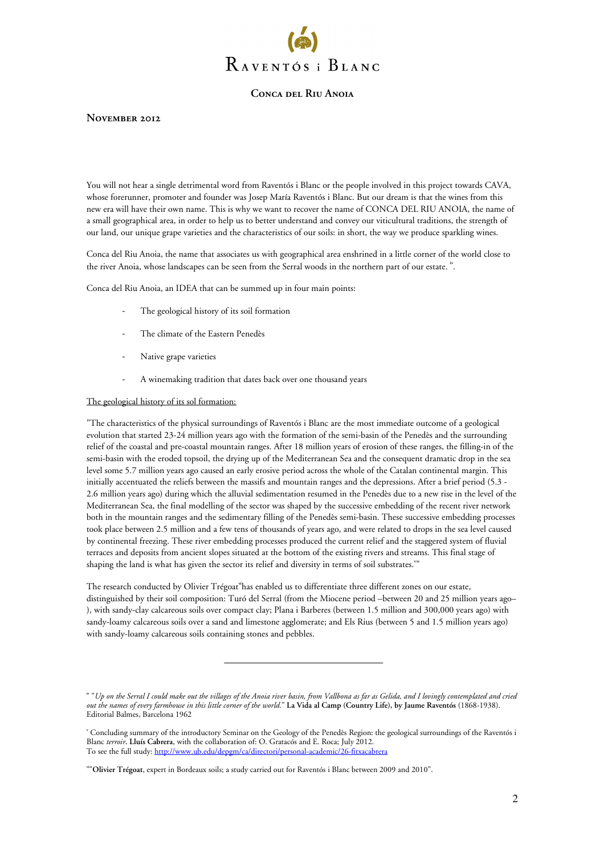

### **November 2012**

You will not hear a single detrimental word from Raventós i Blanc or the people involved in this project towards CAVA, whose forerunner, promoter and founder was Josep María Raventós i Blanc. But our dream is that the wines from this new era will have their own name. This is why we want to recover the name of CONCA DEL RIU ANOIA, the name of a small geographical area, in order to help us to better understand and convey our viticultural traditions, the strength of our land, our unique grape varieties and the characteristics of our soils: in short, the way we produce sparkling wines.

Conca del Riu Anoia, the name that associates us with geographical area enshrined in a little corner of the world close to the river Anoia, whose landscapes can be seen from the Serral woods in the northern part of our estate.<sup>iv</sup>.

Conca del Riu Anoia, an IDEA that can be summed up in four main points:

- The geological history of its soil formation
- The climate of the Eastern Penedès
- Native grape varieties
- A winemaking tradition that dates back over one thousand years

#### The geological history of its sol formation:

"The characteristics of the physical surroundings of Raventós i Blanc are the most immediate outcome of a geological evolution that started 23-24 million years ago with the formation of the semi-basin of the Penedès and the surrounding relief of the coastal and pre-coastal mountain ranges. After 18 million years of erosion of these ranges, the filling-in of the semi-basin with the eroded topsoil, the drying up of the Mediterranean Sea and the consequent dramatic drop in the sea level some 5.7 million years ago caused an early erosive period across the whole of the Catalan continental margin. This initially accentuated the reliefs between the massifs and mountain ranges and the depressions. After a brief period (5.3 - 2.6 million years ago) during which the alluvial sedimentation resumed in the Penedès due to a new rise in the level of the Mediterranean Sea, the final modelling of the sector was shaped by the successive embedding of the recent river network both in the mountain ranges and the sedimentary filling of the Penedès semi-basin. These successive embedding processes took place between 2.5 million and a few tens of thousands of years ago, and were related to drops in the sea level caused by continental freezing. These river embedding processes produced the current relief and the staggered system of fluvial terraces and deposits from ancient slopes situated at the bottom of the existing rivers and streams. This final stage of shaping the land is what has given the sector its relief and diversity in terms of soil substrates.<sup>v</sup>"

The research conducted by Olivier Trégoat**vi**has enabled us to differentiate three different zones on our estate, distinguished by their soil composition: Turó del Serral (from the Miocene period –between 20 and 25 million years ago– ), with sandy-clay calcareous soils over compact clay; Plana i Barberes (between 1.5 million and 300,000 years ago) with sandy-loamy calcareous soils over a sand and limestone agglomerate; and Els Rius (between 5 and 1.5 million years ago) with sandy-loamy calcareous soils containing stones and pebbles.

**iv** "*Up on the Serral I could make out the villages of the Anoia river basin, from Vallbona as far as Gelida, and I lovingly contemplated and cried out the names of every farmhouse in this little corner of the world*." **La Vida al Camp (Country Life), by Jaume Raventós** (1868-1938). Editorial Balmes, Barcelona 1962

**v** Concluding summary of the introductory Seminar on the Geology of the Penedès Region: the geological surroundings of the Raventós i Blanc *terroir***. Lluís Cabrera**, with the collaboration of: O. Gratacós and E. Roca; July 2012. To see the full study: http://www.ub.edu/depgm/ca/directori/personal-academic/26-fitxacabrera

**vi**"**Olivier Trégoat**, expert in Bordeaux soils; a study carried out for Raventós i Blanc between 2009 and 2010".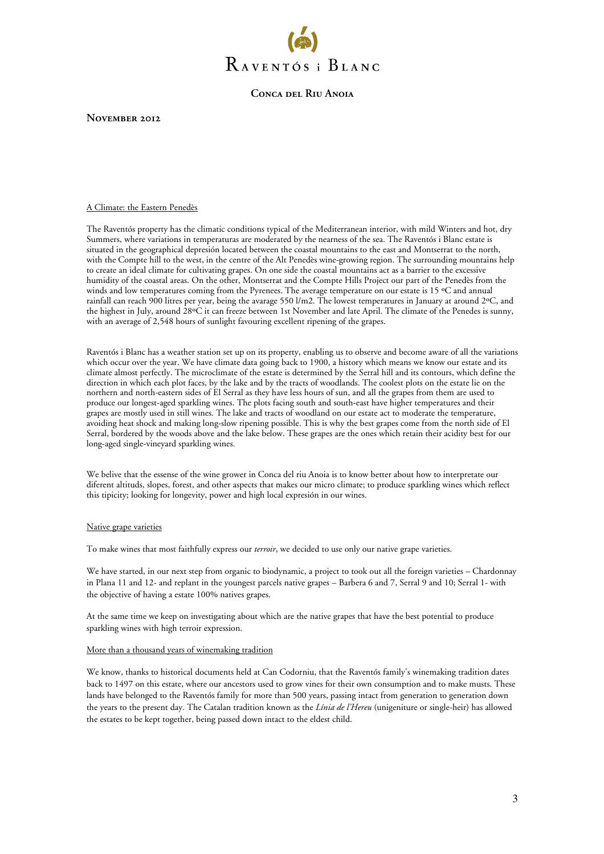

**November 2012** 

#### A Climate: the Eastern Penedès

The Raventós property has the climatic conditions typical of the Mediterranean interior, with mild Winters and hot, dry Summers, where variations in temperaturas are moderated by the nearness of the sea. The Raventós i Blanc estate is situated in the geographical depresión located between the coastal mountains to the east and Montserrat to the north, with the Compte hill to the west, in the centre of the Alt Penedès wine-growing region. The surrounding mountains help to create an ideal climate for cultivating grapes. On one side the coastal mountains act as a barrier to the excessive humidity of the coastal areas. On the other, Montserrat and the Compte Hills Project our part of the Penedès from the winds and low temperatures coming from the Pyrenees. The average temperature on our estate is 15 °C and annual rainfall can reach 900 litres per year, being the avarage 550 l/m2. The lowest temperatures in January at around 2ºC, and the highest in July, around 28ºC it can freeze between 1st November and late April. The climate of the Penedes is sunny, with an average of 2,548 hours of sunlight favouring excellent ripening of the grapes.

Raventós i Blanc has a weather station set up on its property, enabling us to observe and become aware of all the variations which occur over the year. We have climate data going back to 1900, a history which means we know our estate and its climate almost perfectly. The microclimate of the estate is determined by the Serral hill and its contours, which define the direction in which each plot faces, by the lake and by the tracts of woodlands. The coolest plots on the estate lie on the northern and north-eastern sides of El Serral as they have less hours of sun, and all the grapes from them are used to produce our longest-aged sparkling wines. The plots facing south and south-east have higher temperatures and their grapes are mostly used in still wines. The lake and tracts of woodland on our estate act to moderate the temperature, avoiding heat shock and making long-slow ripening possible. This is why the best grapes come from the north side of El Serral, bordered by the woods above and the lake below. These grapes are the ones which retain their acidity best for our long-aged single-vineyard sparkling wines.

We belive that the essense of the wine grower in Conca del riu Anoia is to know better about how to interpretate our diferent altituds, slopes, forest, and other aspects that makes our micro climate; to produce sparkling wines which reflect this tipicity; looking for longevity, power and high local expresión in our wines.

#### Native grape varieties

To make wines that most faithfully express our *terroir*, we decided to use only our native grape varieties.

We have started, in our next step from organic to biodynamic, a project to took out all the foreign varieties – Chardonnay in Plana 11 and 12- and replant in the youngest parcels native grapes – Barbera 6 and 7, Serral 9 and 10; Serral 1- with the objective of having a estate 100% natives grapes.

At the same time we keep on investigating about which are the native grapes that have the best potential to produce sparkling wines with high terroir expression.

#### More than a thousand years of winemaking tradition

We know, thanks to historical documents held at Can Codorniu, that the Raventós family's winemaking tradition dates back to 1497 on this estate, where our ancestors used to grow vines for their own consumption and to make musts. These lands have belonged to the Raventós family for more than 500 years, passing intact from generation to generation down the years to the present day. The Catalan tradition known as the *Línia de l'Hereu* (unigeniture or single-heir) has allowed the estates to be kept together, being passed down intact to the eldest child.